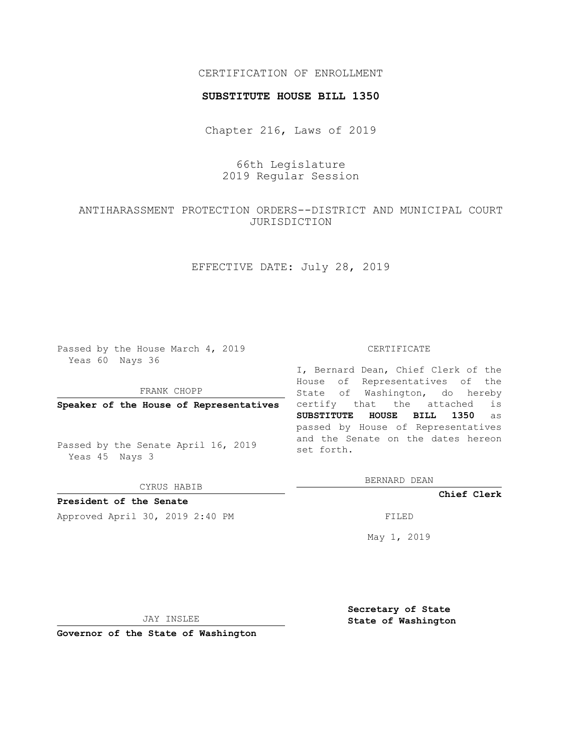## CERTIFICATION OF ENROLLMENT

#### **SUBSTITUTE HOUSE BILL 1350**

Chapter 216, Laws of 2019

66th Legislature 2019 Regular Session

# ANTIHARASSMENT PROTECTION ORDERS--DISTRICT AND MUNICIPAL COURT JURISDICTION

# EFFECTIVE DATE: July 28, 2019

Passed by the House March 4, 2019 Yeas 60 Nays 36

FRANK CHOPP

**Speaker of the House of Representatives**

Passed by the Senate April 16, 2019 Yeas 45 Nays 3

CYRUS HABIB

**President of the Senate**

Approved April 30, 2019 2:40 PM FILED

#### CERTIFICATE

I, Bernard Dean, Chief Clerk of the House of Representatives of the State of Washington, do hereby certify that the attached is **SUBSTITUTE HOUSE BILL 1350** as passed by House of Representatives and the Senate on the dates hereon set forth.

BERNARD DEAN

**Chief Clerk**

May 1, 2019

JAY INSLEE

**Governor of the State of Washington**

**Secretary of State State of Washington**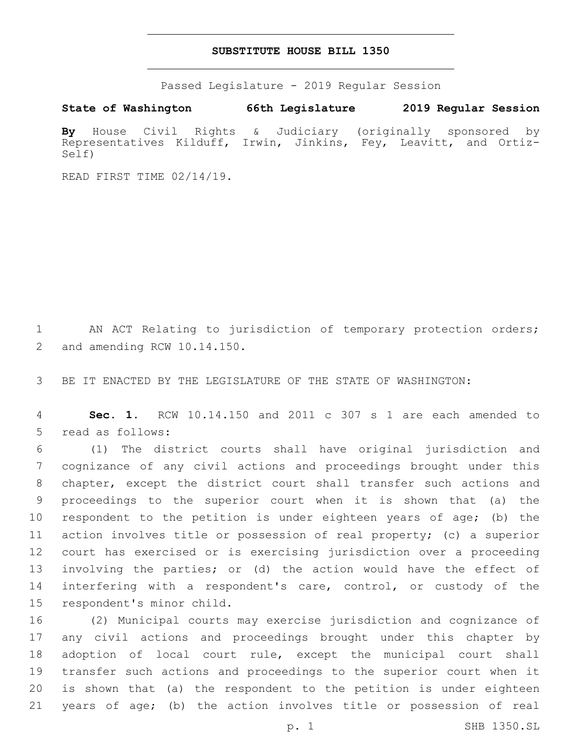### **SUBSTITUTE HOUSE BILL 1350**

Passed Legislature - 2019 Regular Session

**State of Washington 66th Legislature 2019 Regular Session**

**By** House Civil Rights & Judiciary (originally sponsored by Representatives Kilduff, Irwin, Jinkins, Fey, Leavitt, and Ortiz-Self)

READ FIRST TIME 02/14/19.

1 AN ACT Relating to jurisdiction of temporary protection orders; 2 and amending RCW 10.14.150.

3 BE IT ENACTED BY THE LEGISLATURE OF THE STATE OF WASHINGTON:

4 **Sec. 1.** RCW 10.14.150 and 2011 c 307 s 1 are each amended to 5 read as follows:

 (1) The district courts shall have original jurisdiction and cognizance of any civil actions and proceedings brought under this chapter, except the district court shall transfer such actions and proceedings to the superior court when it is shown that (a) the respondent to the petition is under eighteen years of age; (b) the action involves title or possession of real property; (c) a superior court has exercised or is exercising jurisdiction over a proceeding involving the parties; or (d) the action would have the effect of 14 interfering with a respondent's care, control, or custody of the 15 respondent's minor child.

 (2) Municipal courts may exercise jurisdiction and cognizance of any civil actions and proceedings brought under this chapter by adoption of local court rule, except the municipal court shall transfer such actions and proceedings to the superior court when it is shown that (a) the respondent to the petition is under eighteen years of age; (b) the action involves title or possession of real